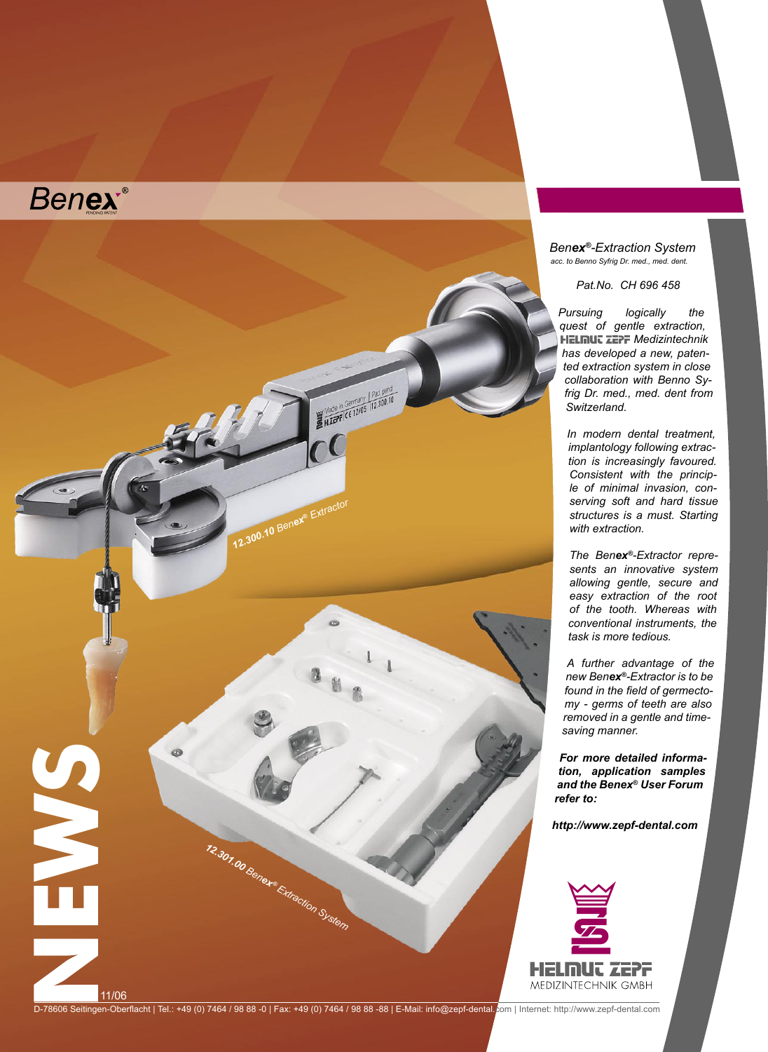



*Benex®-Extraction System acc. to Benno Syfrig Dr. med., med. dent.*

*Pat.No. CH 696 458*

*Pursuing logically the quest of gentle extraction,*  **HELMUT ZEPF Medizintechnik** *has developed a new, patented extraction system in close collaboration with Benno Syfrig Dr. med., med. dent from Switzerland.* 

*In modern dental treatment, implantology following extraction is increasingly favoured. Consistent with the principle of minimal invasion, conserving soft and hard tissue structures is a must. Starting with extraction.* 

*The Benex®-Extractor represents an innovative system allowing gentle, secure and easy extraction of the root of the tooth. Whereas with conventional instruments, the task is more tedious.* 

*A further advantage of the new Benex®-Extractor is to be found in the field of germectomy - germs of teeth are also removed in a gentle and timesaving manner.*

*For more detailed information, application samples and the Benex® User Forum refer to:*

*http://www.zepf-dental.com*



D-78606 Seitingen-Oberflacht | Tel.: +49 (0) 7464 / 98 88 -0 | Fax: +49 (0) 7464 / 98 88 -88 | E-Mail: info@zepf-dental. om | Internet: http://www.zepf-dental.com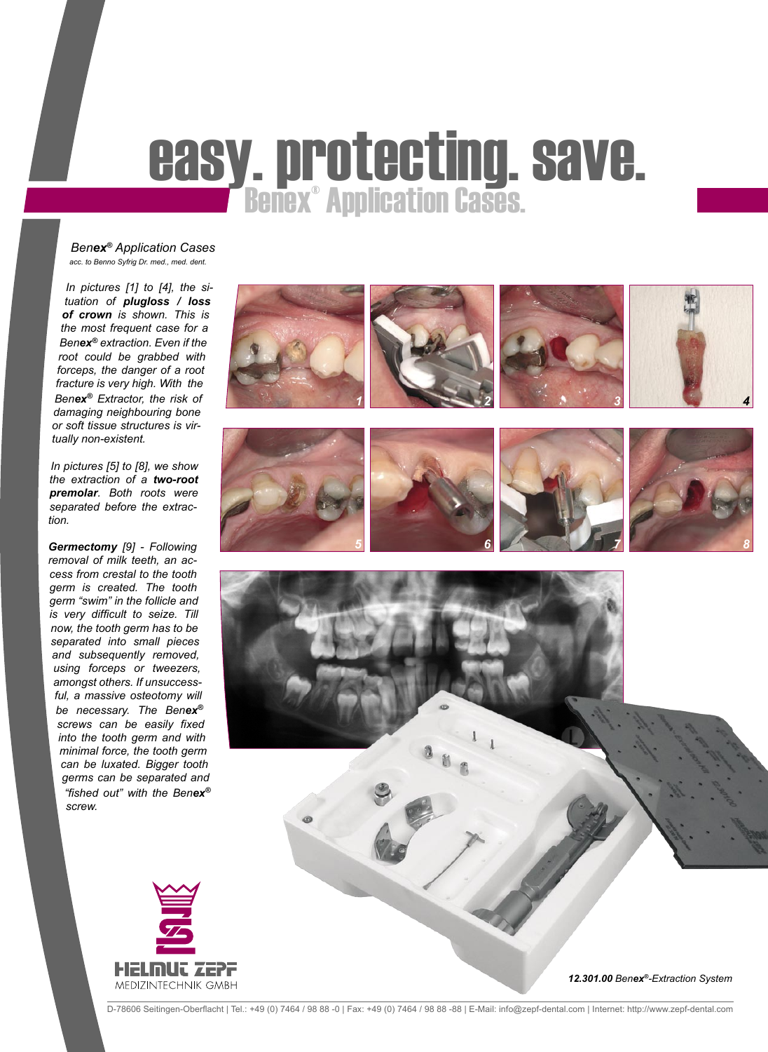## **easy. protecting. save.**<br>Benex® Application Cases.

*Benex® Application Cases acc. to Benno Syfrig Dr. med., med. dent.*

*In pictures [1] to [4], the situation of plugloss / loss of crown is shown. This is the most frequent case for a Benex® extraction. Even if the root could be grabbed with forceps, the danger of a root fracture is very high. With the Benex® Extractor, the risk of damaging neighbouring bone or soft tissue structures is virtually non-existent.* 

*In pictures [5] to [8], we show the extraction of a two-root premolar. Both roots were separated before the extraction.*

*Germectomy [9] - Following removal of milk teeth, an access from crestal to the tooth germ is created. The tooth germ "swim" in the follicle and is very difficult to seize. Till now, the tooth germ has to be separated into small pieces and subsequently removed, using forceps or tweezers, amongst others. If unsuccessful, a massive osteotomy will be necessary. The Benex® screws can be easily fixed into the tooth germ and with minimal force, the tooth germ can be luxated. Bigger tooth germs can be separated and "fished out" with the Benex® screw.*





*12.301.00 Benex®-Extraction System*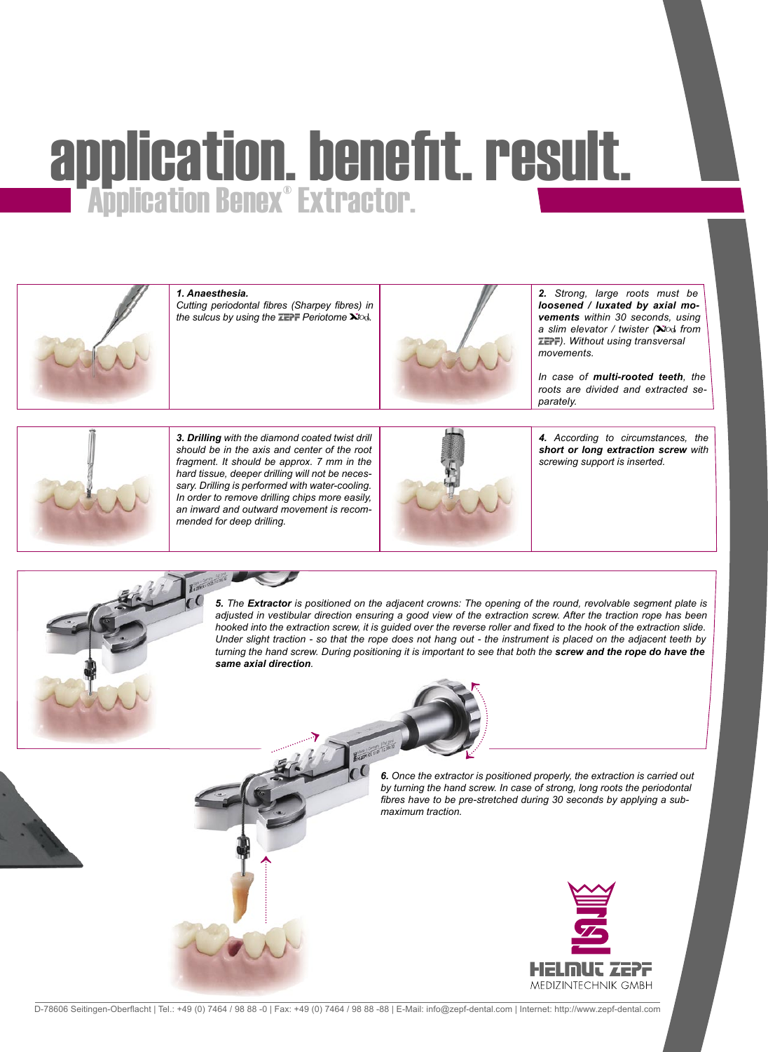# application. benefit. result.<br>■ Application Benex® Extractor.



#### *1. Anaesthesia.*

*Cutting periodontal fibres (Sharpey fibres) in the sulcus by using the ZEPF Periotome*  $\dot{\mathbf{X}}$  od.



*2. Strong, large roots must be loosened / luxated by axial movements within 30 seconds, using*  a slim elevator / twister (**X**IO<sub>3</sub> from *). Without using transversal movements.*

*In case of multi-rooted teeth, the roots are divided and extracted separately.*



*3. Drilling with the diamond coated twist drill should be in the axis and center of the root fragment. It should be approx. 7 mm in the hard tissue, deeper drilling will not be necessary. Drilling is performed with water-cooling. In order to remove drilling chips more easily, an inward and outward movement is recommended for deep drilling.*



*4. According to circumstances, the short or long extraction screw with screwing support is inserted.*

*5. The Extractor is positioned on the adjacent crowns: The opening of the round, revolvable segment plate is adjusted in vestibular direction ensuring a good view of the extraction screw. After the traction rope has been hooked into the extraction screw, it is guided over the reverse roller and fixed to the hook of the extraction slide. Under slight traction - so that the rope does not hang out - the instrument is placed on the adjacent teeth by turning the hand screw. During positioning it is important to see that both the screw and the rope do have the same axial direction.*

> *6. Once the extractor is positioned properly, the extraction is carried out by turning the hand screw. In case of strong, long roots the periodontal fibres have to be pre-stretched during 30 seconds by applying a submaximum traction.*